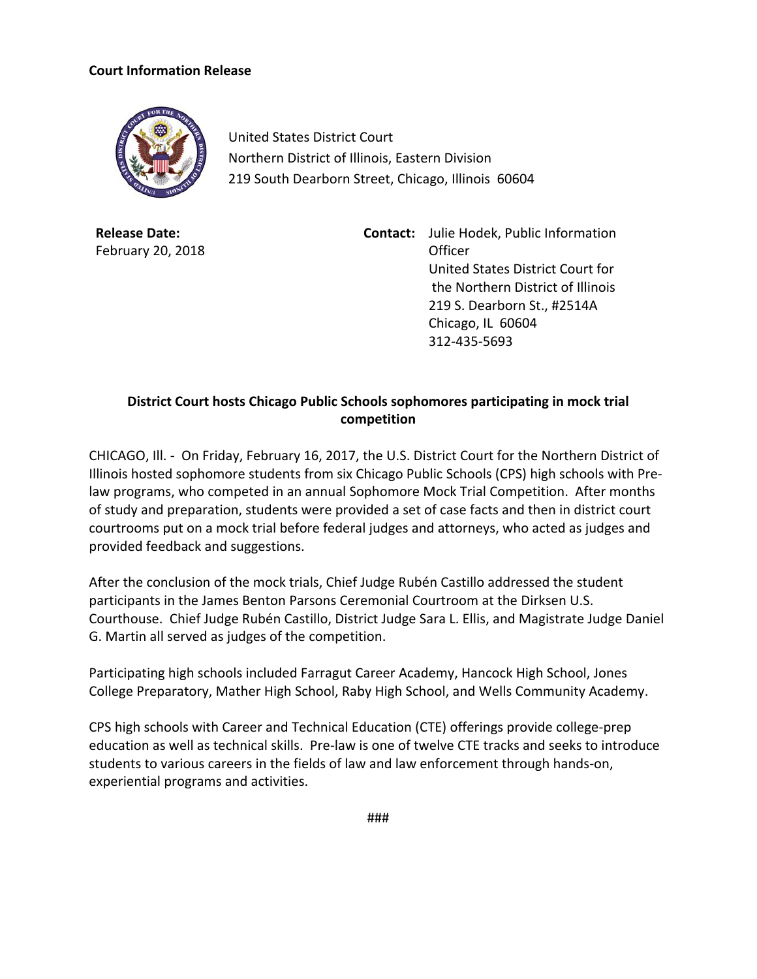## **Court Information Release**



United States District Court Northern District of Illinois, Eastern Division 219 South Dearborn Street, Chicago, Illinois 60604

**Release Date:** February 20, 2018 **Contact:** Julie Hodek, Public Information **Officer** United States District Court for the Northern District of Illinois 219 S. Dearborn St., #2514A Chicago, IL 60604 312‐435‐5693

## **District Court hosts Chicago Public Schools sophomores participating in mock trial competition**

CHICAGO, Ill. ‐ On Friday, February 16, 2017, the U.S. District Court for the Northern District of Illinois hosted sophomore students from six Chicago Public Schools (CPS) high schools with Pre‐ law programs, who competed in an annual Sophomore Mock Trial Competition. After months of study and preparation, students were provided a set of case facts and then in district court courtrooms put on a mock trial before federal judges and attorneys, who acted as judges and provided feedback and suggestions.

After the conclusion of the mock trials, Chief Judge Rubén Castillo addressed the student participants in the James Benton Parsons Ceremonial Courtroom at the Dirksen U.S. Courthouse. Chief Judge Rubén Castillo, District Judge Sara L. Ellis, and Magistrate Judge Daniel G. Martin all served as judges of the competition.

Participating high schools included Farragut Career Academy, Hancock High School, Jones College Preparatory, Mather High School, Raby High School, and Wells Community Academy.

CPS high schools with Career and Technical Education (CTE) offerings provide college‐prep education as well as technical skills. Pre‐law is one of twelve CTE tracks and seeks to introduce students to various careers in the fields of law and law enforcement through hands‐on, experiential programs and activities.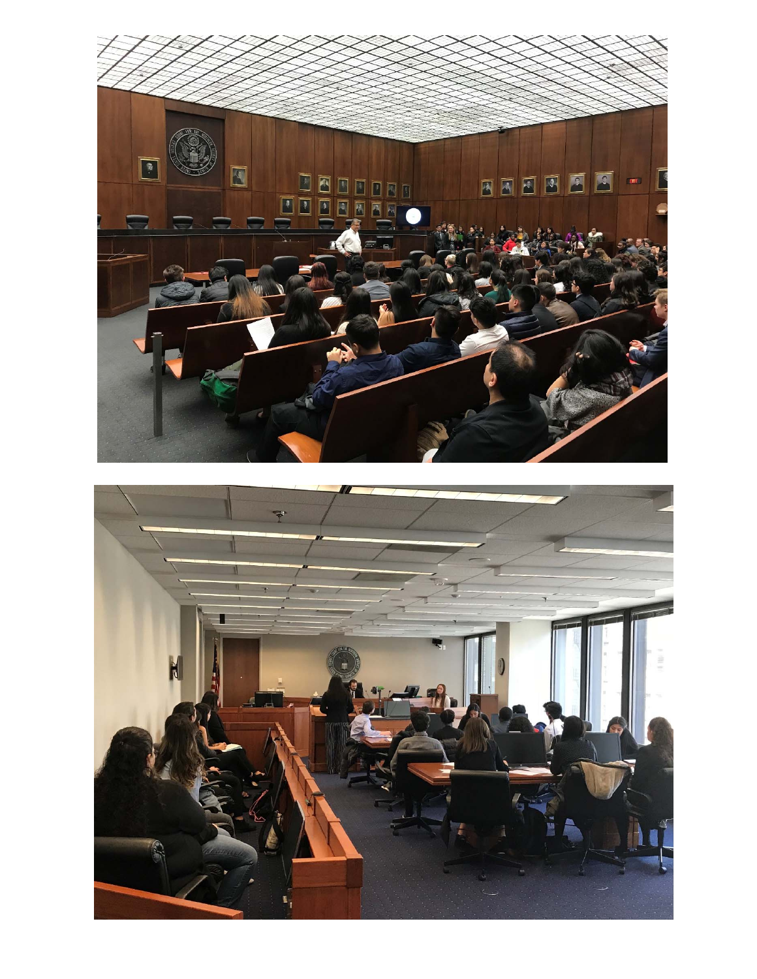